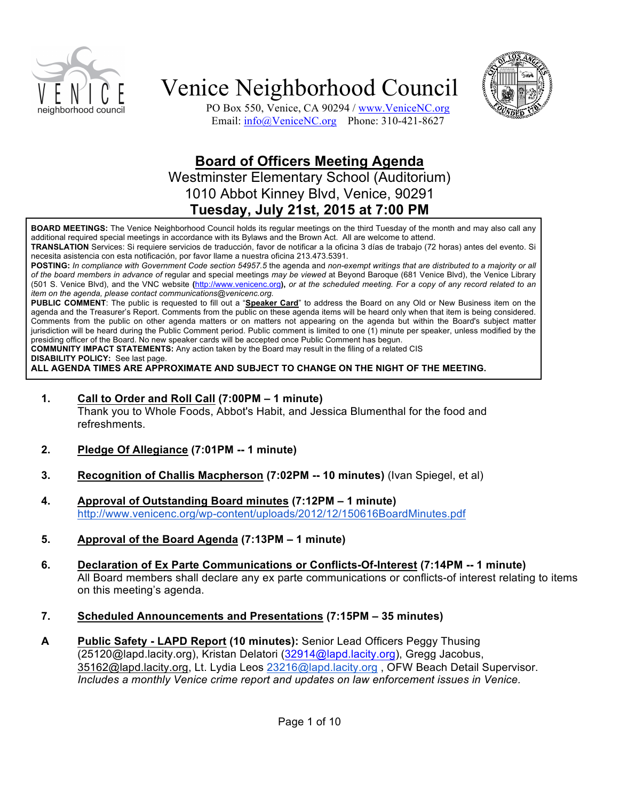



PO Box 550, Venice, CA 90294 / www.VeniceNC.org Email: info@VeniceNC.org Phone: 310-421-8627

### **Board of Officers Meeting Agenda**

Westminster Elementary School (Auditorium) 1010 Abbot Kinney Blvd, Venice, 90291 **Tuesday, July 21st, 2015 at 7:00 PM**

**BOARD MEETINGS:** The Venice Neighborhood Council holds its regular meetings on the third Tuesday of the month and may also call any additional required special meetings in accordance with its Bylaws and the Brown Act. All are welcome to attend.

**TRANSLATION** Services: Si requiere servicios de traducción, favor de notificar a la oficina 3 días de trabajo (72 horas) antes del evento. Si necesita asistencia con esta notificación, por favor llame a nuestra oficina 213.473.5391.

**POSTING:** *In compliance with Government Code section 54957.5* the agenda and *non-exempt writings that are distributed to a majority or all of the board members in advance of* regular and special meetings *may be viewed* at Beyond Baroque (681 Venice Blvd), the Venice Library (501 S. Venice Blvd), and the VNC website **(**http://www.venicenc.org**),** *or at the scheduled meeting. For a copy of any record related to an item on the agenda, please contact communications@venicenc.org.*

**PUBLIC COMMENT**: The public is requested to fill out a "**Speaker Card**" to address the Board on any Old or New Business item on the agenda and the Treasurer's Report. Comments from the public on these agenda items will be heard only when that item is being considered. Comments from the public on other agenda matters or on matters not appearing on the agenda but within the Board's subject matter jurisdiction will be heard during the Public Comment period. Public comment is limited to one (1) minute per speaker, unless modified by the presiding officer of the Board. No new speaker cards will be accepted once Public Comment has begun.

**COMMUNITY IMPACT STATEMENTS:** Any action taken by the Board may result in the filing of a related CIS

**DISABILITY POLICY:** See last page.

**ALL AGENDA TIMES ARE APPROXIMATE AND SUBJECT TO CHANGE ON THE NIGHT OF THE MEETING.**

**1. Call to Order and Roll Call (7:00PM – 1 minute)**

Thank you to Whole Foods, Abbot's Habit, and Jessica Blumenthal for the food and refreshments.

- **2. Pledge Of Allegiance (7:01PM -- 1 minute)**
- **3. Recognition of Challis Macpherson (7:02PM -- 10 minutes)** (Ivan Spiegel, et al)
- **4. Approval of Outstanding Board minutes (7:12PM – 1 minute)** http://www.venicenc.org/wp-content/uploads/2012/12/150616BoardMinutes.pdf
- **5. Approval of the Board Agenda (7:13PM – 1 minute)**
- **6. Declaration of Ex Parte Communications or Conflicts-Of-Interest (7:14PM -- 1 minute)**  All Board members shall declare any ex parte communications or conflicts-of interest relating to items on this meeting's agenda.
- **7. Scheduled Announcements and Presentations (7:15PM – 35 minutes)**
- **A Public Safety - LAPD Report (10 minutes):** Senior Lead Officers Peggy Thusing (25120@lapd.lacity.org), Kristan Delatori (32914@lapd.lacity.org), Gregg Jacobus, 35162@lapd.lacity.org, Lt. Lydia Leos 23216@lapd.lacity.org , OFW Beach Detail Supervisor. *Includes a monthly Venice crime report and updates on law enforcement issues in Venice.*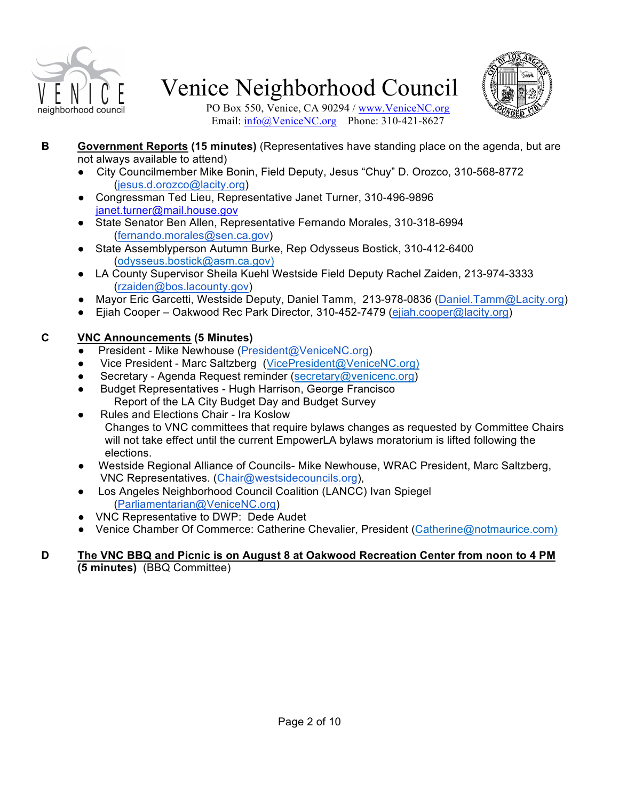



PO Box 550, Venice, CA 90294 / www.VeniceNC.org Email: info@VeniceNC.org Phone: 310-421-8627

- **B Government Reports (15 minutes)** (Representatives have standing place on the agenda, but are not always available to attend)
	- City Councilmember Mike Bonin, Field Deputy, Jesus "Chuy" D. Orozco, 310-568-8772 (jesus.d.orozco@lacity.org)
	- Congressman Ted Lieu, Representative Janet Turner, 310-496-9896 janet.turner@mail.house.gov
	- State Senator Ben Allen, Representative Fernando Morales, 310-318-6994 (fernando.morales@sen.ca.gov)
	- State Assemblyperson Autumn Burke, Rep Odysseus Bostick, 310-412-6400 (odysseus.bostick@asm.ca.gov)
	- LA County Supervisor Sheila Kuehl Westside Field Deputy Rachel Zaiden, 213-974-3333 (rzaiden@bos.lacounty.gov)
	- Mayor Eric Garcetti, Westside Deputy, Daniel Tamm, 213-978-0836 (Daniel.Tamm@Lacity.org)
	- Ejiah Cooper Oakwood Rec Park Director, 310-452-7479 (ejiah.cooper@lacity.org)

### **C VNC Announcements (5 Minutes)**

- President Mike Newhouse (President@VeniceNC.org)
- Vice President Marc Saltzberg (VicePresident@VeniceNC.org)
- Secretary Agenda Request reminder (secretary@venicenc.org)
- Budget Representatives Hugh Harrison, George Francisco Report of the LA City Budget Day and Budget Survey
- Rules and Elections Chair Ira Koslow Changes to VNC committees that require bylaws changes as requested by Committee Chairs will not take effect until the current EmpowerLA bylaws moratorium is lifted following the elections.
- Westside Regional Alliance of Councils- Mike Newhouse, WRAC President, Marc Saltzberg, VNC Representatives. (Chair@westsidecouncils.org),
- Los Angeles Neighborhood Council Coalition (LANCC) Ivan Spiegel (Parliamentarian@VeniceNC.org)
- VNC Representative to DWP: Dede Audet
- Venice Chamber Of Commerce: Catherine Chevalier, President (Catherine@notmaurice.com)

#### **D The VNC BBQ and Picnic is on August 8 at Oakwood Recreation Center from noon to 4 PM (5 minutes)** (BBQ Committee)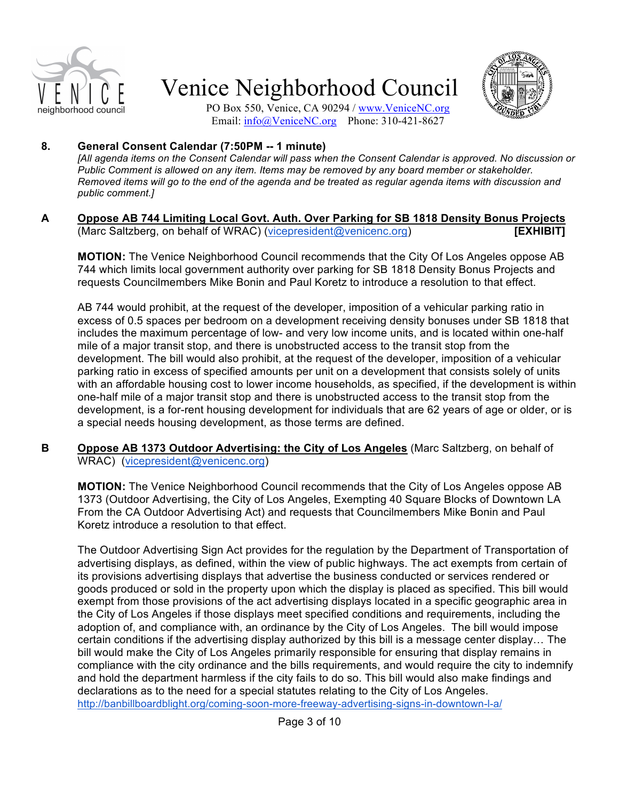



PO Box 550, Venice, CA 90294 / www.VeniceNC.org Email: info@VeniceNC.org Phone: 310-421-8627

### **8. General Consent Calendar (7:50PM -- 1 minute)**

*[All agenda items on the Consent Calendar will pass when the Consent Calendar is approved. No discussion or Public Comment is allowed on any item. Items may be removed by any board member or stakeholder. Removed items will go to the end of the agenda and be treated as regular agenda items with discussion and public comment.]*

#### **A Oppose AB 744 Limiting Local Govt. Auth. Over Parking for SB 1818 Density Bonus Projects** (Marc Saltzberg, on behalf of WRAC) (vicepresident@venicenc.org) **[EXHIBIT]**

**MOTION:** The Venice Neighborhood Council recommends that the City Of Los Angeles oppose AB 744 which limits local government authority over parking for SB 1818 Density Bonus Projects and requests Councilmembers Mike Bonin and Paul Koretz to introduce a resolution to that effect.

AB 744 would prohibit, at the request of the developer, imposition of a vehicular parking ratio in excess of 0.5 spaces per bedroom on a development receiving density bonuses under SB 1818 that includes the maximum percentage of low- and very low income units, and is located within one-half mile of a major transit stop, and there is unobstructed access to the transit stop from the development. The bill would also prohibit, at the request of the developer, imposition of a vehicular parking ratio in excess of specified amounts per unit on a development that consists solely of units with an affordable housing cost to lower income households, as specified, if the development is within one-half mile of a major transit stop and there is unobstructed access to the transit stop from the development, is a for-rent housing development for individuals that are 62 years of age or older, or is a special needs housing development, as those terms are defined.

**B Oppose AB 1373 Outdoor Advertising: the City of Los Angeles** (Marc Saltzberg, on behalf of WRAC) (vicepresident@venicenc.org)

**MOTION:** The Venice Neighborhood Council recommends that the City of Los Angeles oppose AB 1373 (Outdoor Advertising, the City of Los Angeles, Exempting 40 Square Blocks of Downtown LA From the CA Outdoor Advertising Act) and requests that Councilmembers Mike Bonin and Paul Koretz introduce a resolution to that effect.

The Outdoor Advertising Sign Act provides for the regulation by the Department of Transportation of advertising displays, as defined, within the view of public highways. The act exempts from certain of its provisions advertising displays that advertise the business conducted or services rendered or goods produced or sold in the property upon which the display is placed as specified. This bill would exempt from those provisions of the act advertising displays located in a specific geographic area in the City of Los Angeles if those displays meet specified conditions and requirements, including the adoption of, and compliance with, an ordinance by the City of Los Angeles. The bill would impose certain conditions if the advertising display authorized by this bill is a message center display… The bill would make the City of Los Angeles primarily responsible for ensuring that display remains in compliance with the city ordinance and the bills requirements, and would require the city to indemnify and hold the department harmless if the city fails to do so. This bill would also make findings and declarations as to the need for a special statutes relating to the City of Los Angeles. http://banbillboardblight.org/coming-soon-more-freeway-advertising-signs-in-downtown-l-a/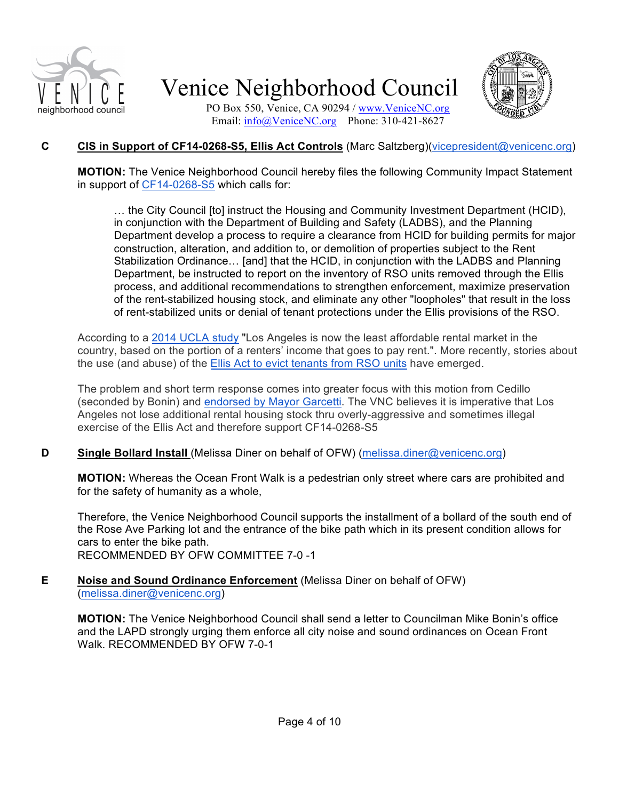



PO Box 550, Venice, CA 90294 / www.VeniceNC.org Email: info@VeniceNC.org Phone: 310-421-8627

### **C CIS in Support of CF14-0268-S5, Ellis Act Controls** (Marc Saltzberg)(vicepresident@venicenc.org)

**MOTION:** The Venice Neighborhood Council hereby files the following Community Impact Statement in support of CF14-0268-S5 which calls for:

… the City Council [to] instruct the Housing and Community Investment Department (HCID), in conjunction with the Department of Building and Safety (LADBS), and the Planning Department develop a process to require a clearance from HCID for building permits for major construction, alteration, and addition to, or demolition of properties subject to the Rent Stabilization Ordinance… [and] that the HCID, in conjunction with the LADBS and Planning Department, be instructed to report on the inventory of RSO units removed through the Ellis process, and additional recommendations to strengthen enforcement, maximize preservation of the rent-stabilized housing stock, and eliminate any other "loopholes" that result in the loss of rent-stabilized units or denial of tenant protections under the Ellis provisions of the RSO.

According to a 2014 UCLA study "Los Angeles is now the least affordable rental market in the country, based on the portion of a renters' income that goes to pay rent.". More recently, stories about the use (and abuse) of the Ellis Act to evict tenants from RSO units have emerged.

The problem and short term response comes into greater focus with this motion from Cedillo (seconded by Bonin) and endorsed by Mayor Garcetti. The VNC believes it is imperative that Los Angeles not lose additional rental housing stock thru overly-aggressive and sometimes illegal exercise of the Ellis Act and therefore support CF14-0268-S5

### **D Single Bollard Install** (Melissa Diner on behalf of OFW) (melissa.diner@venicenc.org)

**MOTION:** Whereas the Ocean Front Walk is a pedestrian only street where cars are prohibited and for the safety of humanity as a whole,

Therefore, the Venice Neighborhood Council supports the installment of a bollard of the south end of the Rose Ave Parking lot and the entrance of the bike path which in its present condition allows for cars to enter the bike path. RECOMMENDED BY OFW COMMITTEE 7-0 -1

#### **E Noise and Sound Ordinance Enforcement** (Melissa Diner on behalf of OFW) (melissa.diner@venicenc.org)

**MOTION:** The Venice Neighborhood Council shall send a letter to Councilman Mike Bonin's office and the LAPD strongly urging them enforce all city noise and sound ordinances on Ocean Front Walk. RECOMMENDED BY OFW 7-0-1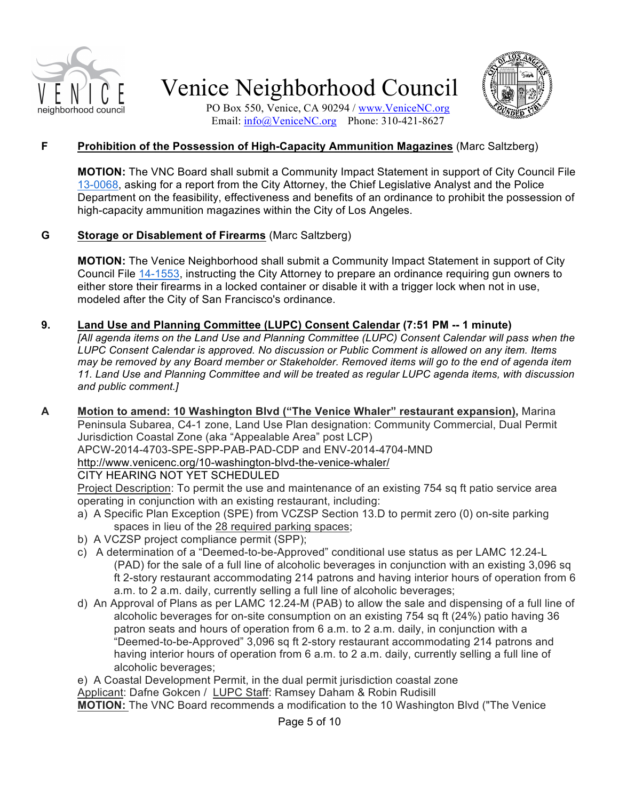



PO Box 550, Venice, CA 90294 / www.VeniceNC.org Email: info@VeniceNC.org Phone: 310-421-8627

#### **F Prohibition of the Possession of High-Capacity Ammunition Magazines** (Marc Saltzberg)

**MOTION:** The VNC Board shall submit a Community Impact Statement in support of City Council File 13-0068, asking for a report from the City Attorney, the Chief Legislative Analyst and the Police Department on the feasibility, effectiveness and benefits of an ordinance to prohibit the possession of high-capacity ammunition magazines within the City of Los Angeles.

#### **G Storage or Disablement of Firearms** (Marc Saltzberg)

**MOTION:** The Venice Neighborhood shall submit a Community Impact Statement in support of City Council File 14-1553, instructing the City Attorney to prepare an ordinance requiring gun owners to either store their firearms in a locked container or disable it with a trigger lock when not in use, modeled after the City of San Francisco's ordinance.

#### **9. Land Use and Planning Committee (LUPC) Consent Calendar (7:51 PM -- 1 minute)**

*[All agenda items on the Land Use and Planning Committee (LUPC) Consent Calendar will pass when the LUPC Consent Calendar is approved. No discussion or Public Comment is allowed on any item. Items may be removed by any Board member or Stakeholder. Removed items will go to the end of agenda item 11. Land Use and Planning Committee and will be treated as regular LUPC agenda items, with discussion and public comment.]*

**A Motion to amend: 10 Washington Blvd ("The Venice Whaler" restaurant expansion),** Marina Peninsula Subarea, C4-1 zone, Land Use Plan designation: Community Commercial, Dual Permit Jurisdiction Coastal Zone (aka "Appealable Area" post LCP) APCW-2014-4703-SPE-SPP-PAB-PAD-CDP and ENV-2014-4704-MND

http://www.venicenc.org/10-washington-blvd-the-venice-whaler/

#### CITY HEARING NOT YET SCHEDULED

Project Description: To permit the use and maintenance of an existing 754 sq ft patio service area operating in conjunction with an existing restaurant, including:

- a) A Specific Plan Exception (SPE) from VCZSP Section 13.D to permit zero (0) on-site parking spaces in lieu of the 28 required parking spaces;
- b) A VCZSP project compliance permit (SPP);
- c) A determination of a "Deemed-to-be-Approved" conditional use status as per LAMC 12.24-L (PAD) for the sale of a full line of alcoholic beverages in conjunction with an existing 3,096 sq ft 2-story restaurant accommodating 214 patrons and having interior hours of operation from 6 a.m. to 2 a.m. daily, currently selling a full line of alcoholic beverages;
- d) An Approval of Plans as per LAMC 12.24-M (PAB) to allow the sale and dispensing of a full line of alcoholic beverages for on-site consumption on an existing 754 sq ft (24%) patio having 36 patron seats and hours of operation from 6 a.m. to 2 a.m. daily, in conjunction with a "Deemed-to-be-Approved" 3,096 sq ft 2-story restaurant accommodating 214 patrons and having interior hours of operation from 6 a.m. to 2 a.m. daily, currently selling a full line of alcoholic beverages;

e) A Coastal Development Permit, in the dual permit jurisdiction coastal zone Applicant: Dafne Gokcen / LUPC Staff: Ramsey Daham & Robin Rudisill **MOTION:** The VNC Board recommends a modification to the 10 Washington Blvd ("The Venice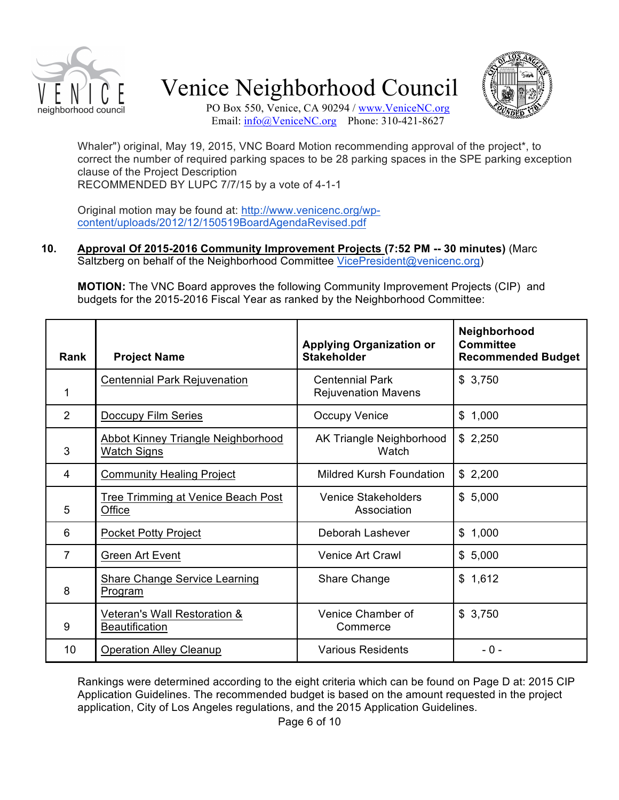



PO Box 550, Venice, CA 90294 / www.VeniceNC.org Email: info@VeniceNC.org Phone: 310-421-8627

Whaler") original, May 19, 2015, VNC Board Motion recommending approval of the project\*, to correct the number of required parking spaces to be 28 parking spaces in the SPE parking exception clause of the Project Description RECOMMENDED BY LUPC 7/7/15 by a vote of 4-1-1

Original motion may be found at: http://www.venicenc.org/wpcontent/uploads/2012/12/150519BoardAgendaRevised.pdf

#### **10. Approval Of 2015-2016 Community Improvement Projects (7:52 PM -- 30 minutes)** (Marc Saltzberg on behalf of the Neighborhood Committee VicePresident@venicenc.org)

**MOTION:** The VNC Board approves the following Community Improvement Projects (CIP) and budgets for the 2015-2016 Fiscal Year as ranked by the Neighborhood Committee:

| <b>Rank</b> | <b>Project Name</b>                                             | <b>Applying Organization or</b><br><b>Stakeholder</b> | Neighborhood<br><b>Committee</b><br><b>Recommended Budget</b> |
|-------------|-----------------------------------------------------------------|-------------------------------------------------------|---------------------------------------------------------------|
| 1           | <b>Centennial Park Rejuvenation</b>                             | <b>Centennial Park</b><br><b>Rejuvenation Mavens</b>  | \$3,750                                                       |
| 2           | <b>Doccupy Film Series</b>                                      | <b>Occupy Venice</b>                                  | \$1,000                                                       |
| 3           | <b>Abbot Kinney Triangle Neighborhood</b><br><b>Watch Signs</b> | AK Triangle Neighborhood<br>Watch                     | \$2,250                                                       |
| 4           | <b>Community Healing Project</b>                                | Mildred Kursh Foundation                              | \$2,200                                                       |
| 5           | <b>Tree Trimming at Venice Beach Post</b><br>Office             | <b>Venice Stakeholders</b><br>Association             | \$5,000                                                       |
| 6           | <b>Pocket Potty Project</b>                                     | Deborah Lashever                                      | \$1,000                                                       |
| 7           | <b>Green Art Event</b>                                          | Venice Art Crawl                                      | \$5,000                                                       |
| 8           | <b>Share Change Service Learning</b><br>Program                 | Share Change                                          | \$1,612                                                       |
| 9           | Veteran's Wall Restoration &<br><b>Beautification</b>           | Venice Chamber of<br>Commerce                         | \$3,750                                                       |
| 10          | <b>Operation Alley Cleanup</b>                                  | <b>Various Residents</b>                              | $-0-$                                                         |

Rankings were determined according to the eight criteria which can be found on Page D at: 2015 CIP Application Guidelines. The recommended budget is based on the amount requested in the project application, City of Los Angeles regulations, and the 2015 Application Guidelines.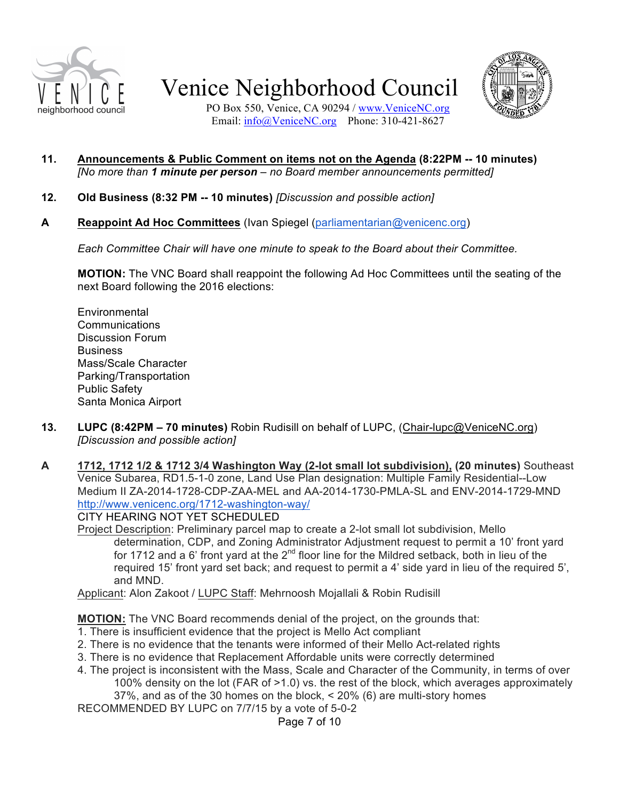



PO Box 550, Venice, CA 90294 / www.VeniceNC.org Email: info@VeniceNC.org Phone: 310-421-8627

- **11. Announcements & Public Comment on items not on the Agenda (8:22PM -- 10 minutes)** *[No more than 1 minute per person – no Board member announcements permitted]*
- **12. Old Business (8:32 PM -- 10 minutes)** *[Discussion and possible action]*
- **A Reappoint Ad Hoc Committees** (Ivan Spiegel (parliamentarian@venicenc.org)

*Each Committee Chair will have one minute to speak to the Board about their Committee.*

**MOTION:** The VNC Board shall reappoint the following Ad Hoc Committees until the seating of the next Board following the 2016 elections:

- **Environmental** Communications Discussion Forum **Business** Mass/Scale Character Parking/Transportation Public Safety Santa Monica Airport
- **13. LUPC (8:42PM – 70 minutes)** Robin Rudisill on behalf of LUPC, (Chair-lupc@VeniceNC.org) *[Discussion and possible action]*
- **A 1712, 1712 1/2 & 1712 3/4 Washington Way (2-lot small lot subdivision), (20 minutes)** Southeast Venice Subarea, RD1.5-1-0 zone, Land Use Plan designation: Multiple Family Residential--Low Medium II ZA-2014-1728-CDP-ZAA-MEL and AA-2014-1730-PMLA-SL and ENV-2014-1729-MND http://www.venicenc.org/1712-washington-way/

CITY HEARING NOT YET SCHEDULED

Project Description: Preliminary parcel map to create a 2-lot small lot subdivision, Mello determination, CDP, and Zoning Administrator Adjustment request to permit a 10' front yard for 1712 and a 6' front yard at the  $2^{nd}$  floor line for the Mildred setback, both in lieu of the required 15' front yard set back; and request to permit a 4' side yard in lieu of the required 5', and MND.

Applicant: Alon Zakoot / LUPC Staff: Mehrnoosh Mojallali & Robin Rudisill

**MOTION:** The VNC Board recommends denial of the project, on the grounds that:

- 1. There is insufficient evidence that the project is Mello Act compliant
- 2. There is no evidence that the tenants were informed of their Mello Act-related rights
- 3. There is no evidence that Replacement Affordable units were correctly determined
- 4. The project is inconsistent with the Mass, Scale and Character of the Community, in terms of over 100% density on the lot (FAR of >1.0) vs. the rest of the block, which averages approximately 37%, and as of the 30 homes on the block, < 20% (6) are multi-story homes

RECOMMENDED BY LUPC on 7/7/15 by a vote of 5-0-2

Page 7 of 10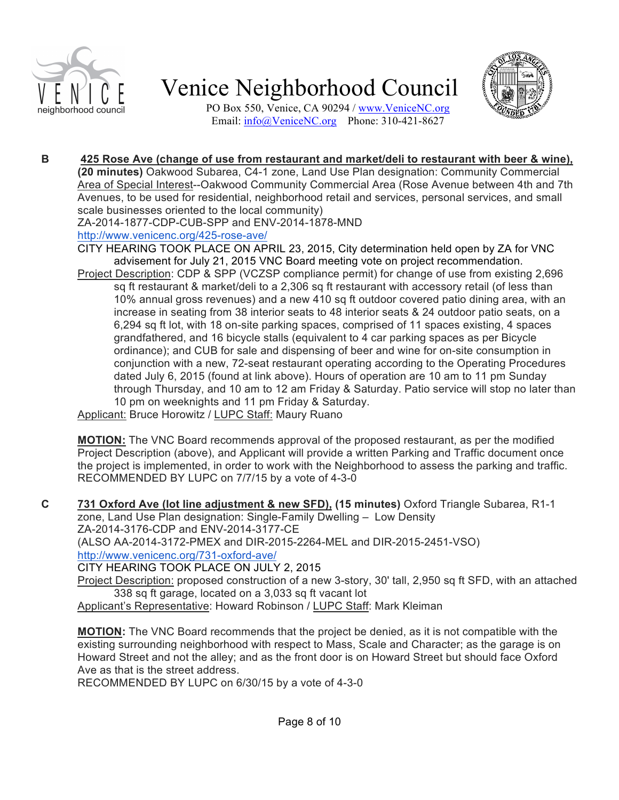



PO Box 550, Venice, CA 90294 / www.VeniceNC.org Email: info@VeniceNC.org Phone: 310-421-8627

#### **B 425 Rose Ave (change of use from restaurant and market/deli to restaurant with beer & wine), (20 minutes)** Oakwood Subarea, C4-1 zone, Land Use Plan designation: Community Commercial

Area of Special Interest--Oakwood Community Commercial Area (Rose Avenue between 4th and 7th Avenues, to be used for residential, neighborhood retail and services, personal services, and small scale businesses oriented to the local community)

ZA-2014-1877-CDP-CUB-SPP and ENV-2014-1878-MND

#### http://www.venicenc.org/425-rose-ave/

CITY HEARING TOOK PLACE ON APRIL 23, 2015, City determination held open by ZA for VNC advisement for July 21, 2015 VNC Board meeting vote on project recommendation.

Project Description: CDP & SPP (VCZSP compliance permit) for change of use from existing 2,696 sq ft restaurant & market/deli to a 2,306 sq ft restaurant with accessory retail (of less than 10% annual gross revenues) and a new 410 sq ft outdoor covered patio dining area, with an increase in seating from 38 interior seats to 48 interior seats & 24 outdoor patio seats, on a 6,294 sq ft lot, with 18 on-site parking spaces, comprised of 11 spaces existing, 4 spaces grandfathered, and 16 bicycle stalls (equivalent to 4 car parking spaces as per Bicycle ordinance); and CUB for sale and dispensing of beer and wine for on-site consumption in conjunction with a new, 72-seat restaurant operating according to the Operating Procedures dated July 6, 2015 (found at link above). Hours of operation are 10 am to 11 pm Sunday through Thursday, and 10 am to 12 am Friday & Saturday. Patio service will stop no later than 10 pm on weeknights and 11 pm Friday & Saturday.

Applicant: Bruce Horowitz / LUPC Staff: Maury Ruano

**MOTION:** The VNC Board recommends approval of the proposed restaurant, as per the modified Project Description (above), and Applicant will provide a written Parking and Traffic document once the project is implemented, in order to work with the Neighborhood to assess the parking and traffic. RECOMMENDED BY LUPC on 7/7/15 by a vote of 4-3-0

**C 731 Oxford Ave (lot line adjustment & new SFD), (15 minutes)** Oxford Triangle Subarea, R1-1 zone, Land Use Plan designation: Single-Family Dwelling – Low Density ZA-2014-3176-CDP and ENV-2014-3177-CE (ALSO AA-2014-3172-PMEX and DIR-2015-2264-MEL and DIR-2015-2451-VSO) http://www.venicenc.org/731-oxford-ave/ CITY HEARING TOOK PLACE ON JULY 2, 2015

Project Description: proposed construction of a new 3-story, 30' tall, 2,950 sq ft SFD, with an attached

338 sq ft garage, located on a 3,033 sq ft vacant lot Applicant's Representative: Howard Robinson / LUPC Staff: Mark Kleiman

**MOTION:** The VNC Board recommends that the project be denied, as it is not compatible with the existing surrounding neighborhood with respect to Mass, Scale and Character; as the garage is on Howard Street and not the alley; and as the front door is on Howard Street but should face Oxford Ave as that is the street address.

RECOMMENDED BY LUPC on 6/30/15 by a vote of 4-3-0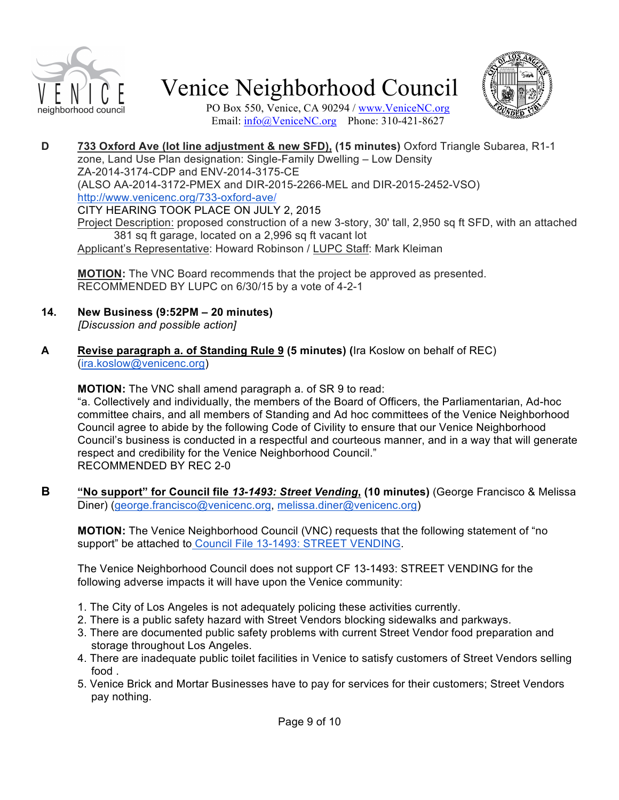



PO Box 550, Venice, CA 90294 / www.VeniceNC.org Email: info@VeniceNC.org Phone: 310-421-8627

**D 733 Oxford Ave (lot line adjustment & new SFD), (15 minutes)** Oxford Triangle Subarea, R1-1 zone, Land Use Plan designation: Single-Family Dwelling – Low Density ZA-2014-3174-CDP and ENV-2014-3175-CE (ALSO AA-2014-3172-PMEX and DIR-2015-2266-MEL and DIR-2015-2452-VSO) http://www.venicenc.org/733-oxford-ave/ CITY HEARING TOOK PLACE ON JULY 2, 2015 Project Description: proposed construction of a new 3-story, 30' tall, 2,950 sq ft SFD, with an attached 381 sq ft garage, located on a 2,996 sq ft vacant lot Applicant's Representative: Howard Robinson / LUPC Staff: Mark Kleiman

**MOTION:** The VNC Board recommends that the project be approved as presented. RECOMMENDED BY LUPC on 6/30/15 by a vote of 4-2-1

- **14. New Business (9:52PM – 20 minutes)** *[Discussion and possible action]*
- **A Revise paragraph a. of Standing Rule 9 (5 minutes) (**Ira Koslow on behalf of REC) (ira.koslow@venicenc.org)

**MOTION:** The VNC shall amend paragraph a. of SR 9 to read:

"a. Collectively and individually, the members of the Board of Officers, the Parliamentarian, Ad-hoc committee chairs, and all members of Standing and Ad hoc committees of the Venice Neighborhood Council agree to abide by the following Code of Civility to ensure that our Venice Neighborhood Council's business is conducted in a respectful and courteous manner, and in a way that will generate respect and credibility for the Venice Neighborhood Council." RECOMMENDED BY REC 2-0

**B "No support" for Council file** *13-1493: Street Vending***, (10 minutes)** (George Francisco & Melissa Diner) (george.francisco@venicenc.org, melissa.diner@venicenc.org)

**MOTION:** The Venice Neighborhood Council (VNC) requests that the following statement of "no support" be attached to Council File 13-1493: STREET VENDING.

The Venice Neighborhood Council does not support CF 13-1493: STREET VENDING for the following adverse impacts it will have upon the Venice community:

- 1. The City of Los Angeles is not adequately policing these activities currently.
- 2. There is a public safety hazard with Street Vendors blocking sidewalks and parkways.
- 3. There are documented public safety problems with current Street Vendor food preparation and storage throughout Los Angeles.
- 4. There are inadequate public toilet facilities in Venice to satisfy customers of Street Vendors selling food .
- 5. Venice Brick and Mortar Businesses have to pay for services for their customers; Street Vendors pay nothing.